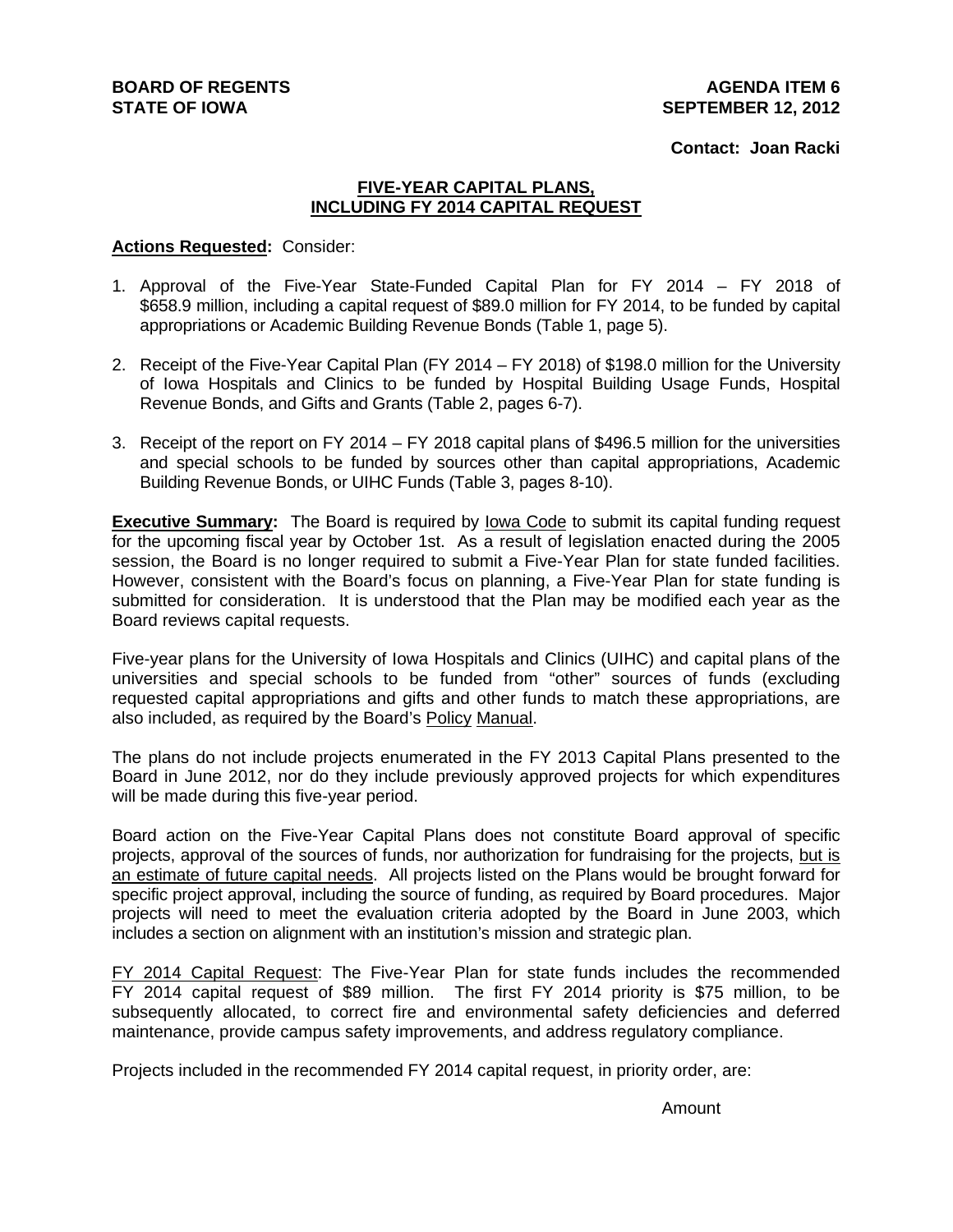### **Contact: Joan Racki**

### **FIVE-YEAR CAPITAL PLANS, INCLUDING FY 2014 CAPITAL REQUEST**

### **Actions Requested:** Consider:

- 1. Approval of the Five-Year State-Funded Capital Plan for FY 2014 FY 2018 of \$658.9 million, including a capital request of \$89.0 million for FY 2014, to be funded by capital appropriations or Academic Building Revenue Bonds (Table 1, page 5).
- 2. Receipt of the Five-Year Capital Plan (FY 2014 FY 2018) of \$198.0 million for the University of Iowa Hospitals and Clinics to be funded by Hospital Building Usage Funds, Hospital Revenue Bonds, and Gifts and Grants (Table 2, pages 6-7).
- 3. Receipt of the report on FY 2014 FY 2018 capital plans of \$496.5 million for the universities and special schools to be funded by sources other than capital appropriations, Academic Building Revenue Bonds, or UIHC Funds (Table 3, pages 8-10).

**Executive Summary:** The Board is required by Iowa Code to submit its capital funding request for the upcoming fiscal year by October 1st. As a result of legislation enacted during the 2005 session, the Board is no longer required to submit a Five-Year Plan for state funded facilities. However, consistent with the Board's focus on planning, a Five-Year Plan for state funding is submitted for consideration. It is understood that the Plan may be modified each year as the Board reviews capital requests.

Five-year plans for the University of Iowa Hospitals and Clinics (UIHC) and capital plans of the universities and special schools to be funded from "other" sources of funds (excluding requested capital appropriations and gifts and other funds to match these appropriations, are also included, as required by the Board's Policy Manual.

The plans do not include projects enumerated in the FY 2013 Capital Plans presented to the Board in June 2012, nor do they include previously approved projects for which expenditures will be made during this five-year period.

Board action on the Five-Year Capital Plans does not constitute Board approval of specific projects, approval of the sources of funds, nor authorization for fundraising for the projects, but is an estimate of future capital needs. All projects listed on the Plans would be brought forward for specific project approval, including the source of funding, as required by Board procedures. Major projects will need to meet the evaluation criteria adopted by the Board in June 2003, which includes a section on alignment with an institution's mission and strategic plan.

FY 2014 Capital Request: The Five-Year Plan for state funds includes the recommended FY 2014 capital request of \$89 million. The first FY 2014 priority is \$75 million, to be subsequently allocated, to correct fire and environmental safety deficiencies and deferred maintenance, provide campus safety improvements, and address regulatory compliance.

Projects included in the recommended FY 2014 capital request, in priority order, are:

Amount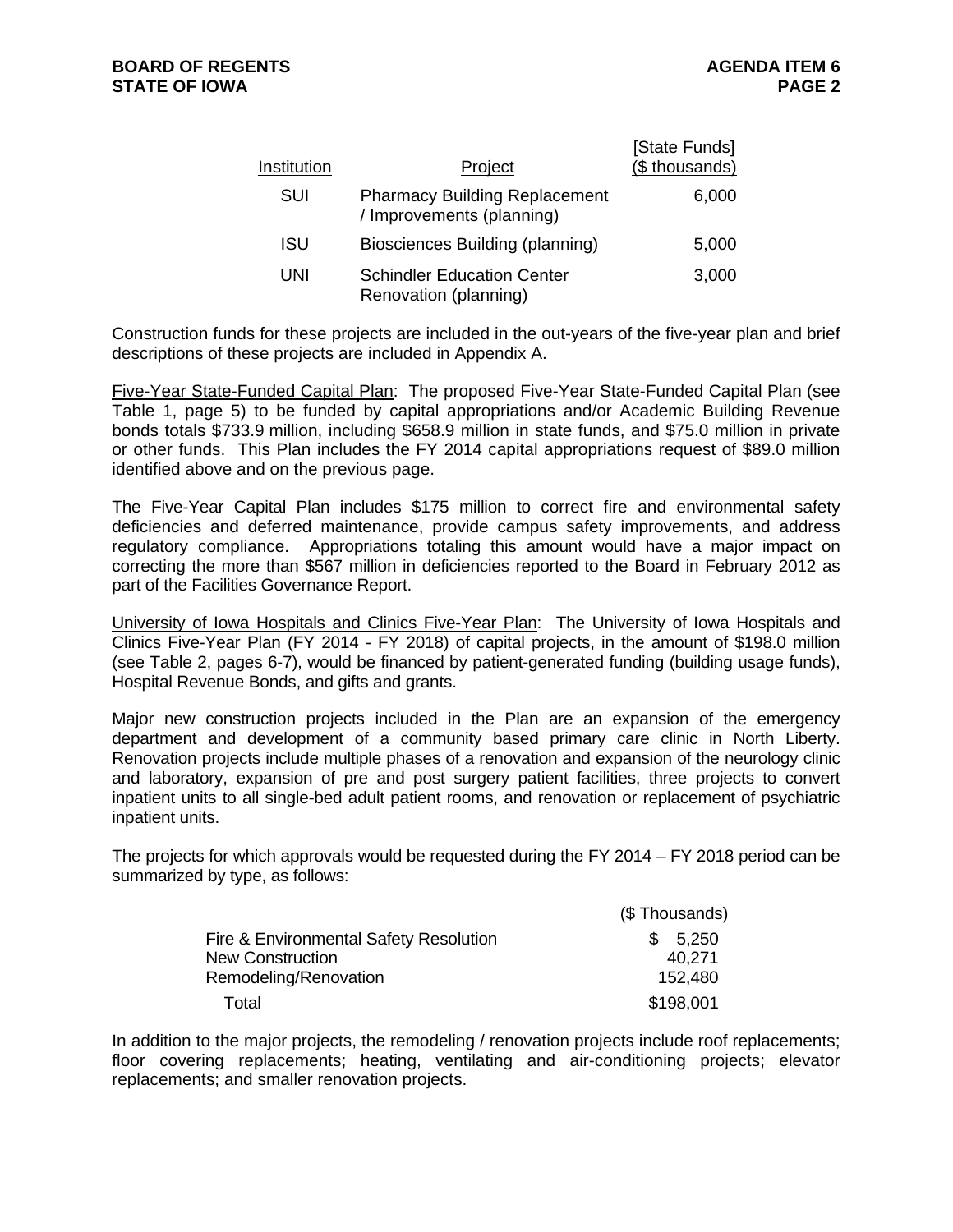| Institution | Project                                                           | [State Funds]<br>(\$ thousands) |
|-------------|-------------------------------------------------------------------|---------------------------------|
| SUI         | <b>Pharmacy Building Replacement</b><br>/ Improvements (planning) | 6,000                           |
| ISU         | Biosciences Building (planning)                                   | 5,000                           |
| UNI         | <b>Schindler Education Center</b><br>Renovation (planning)        | 3,000                           |

Construction funds for these projects are included in the out-years of the five-year plan and brief descriptions of these projects are included in Appendix A.

Five-Year State-Funded Capital Plan: The proposed Five-Year State-Funded Capital Plan (see Table 1, page 5) to be funded by capital appropriations and/or Academic Building Revenue bonds totals \$733.9 million, including \$658.9 million in state funds, and \$75.0 million in private or other funds. This Plan includes the FY 2014 capital appropriations request of \$89.0 million identified above and on the previous page.

The Five-Year Capital Plan includes \$175 million to correct fire and environmental safety deficiencies and deferred maintenance, provide campus safety improvements, and address regulatory compliance. Appropriations totaling this amount would have a major impact on correcting the more than \$567 million in deficiencies reported to the Board in February 2012 as part of the Facilities Governance Report.

University of Iowa Hospitals and Clinics Five-Year Plan: The University of Iowa Hospitals and Clinics Five-Year Plan (FY 2014 - FY 2018) of capital projects, in the amount of \$198.0 million (see Table 2, pages 6-7), would be financed by patient-generated funding (building usage funds), Hospital Revenue Bonds, and gifts and grants.

Major new construction projects included in the Plan are an expansion of the emergency department and development of a community based primary care clinic in North Liberty. Renovation projects include multiple phases of a renovation and expansion of the neurology clinic and laboratory, expansion of pre and post surgery patient facilities, three projects to convert inpatient units to all single-bed adult patient rooms, and renovation or replacement of psychiatric inpatient units.

The projects for which approvals would be requested during the FY 2014 – FY 2018 period can be summarized by type, as follows:

|                                        | (\$Thousands) |
|----------------------------------------|---------------|
| Fire & Environmental Safety Resolution | \$5,250       |
| <b>New Construction</b>                | 40,271        |
| Remodeling/Renovation                  | 152,480       |
| Total                                  | \$198,001     |

In addition to the major projects, the remodeling / renovation projects include roof replacements; floor covering replacements; heating, ventilating and air-conditioning projects; elevator replacements; and smaller renovation projects.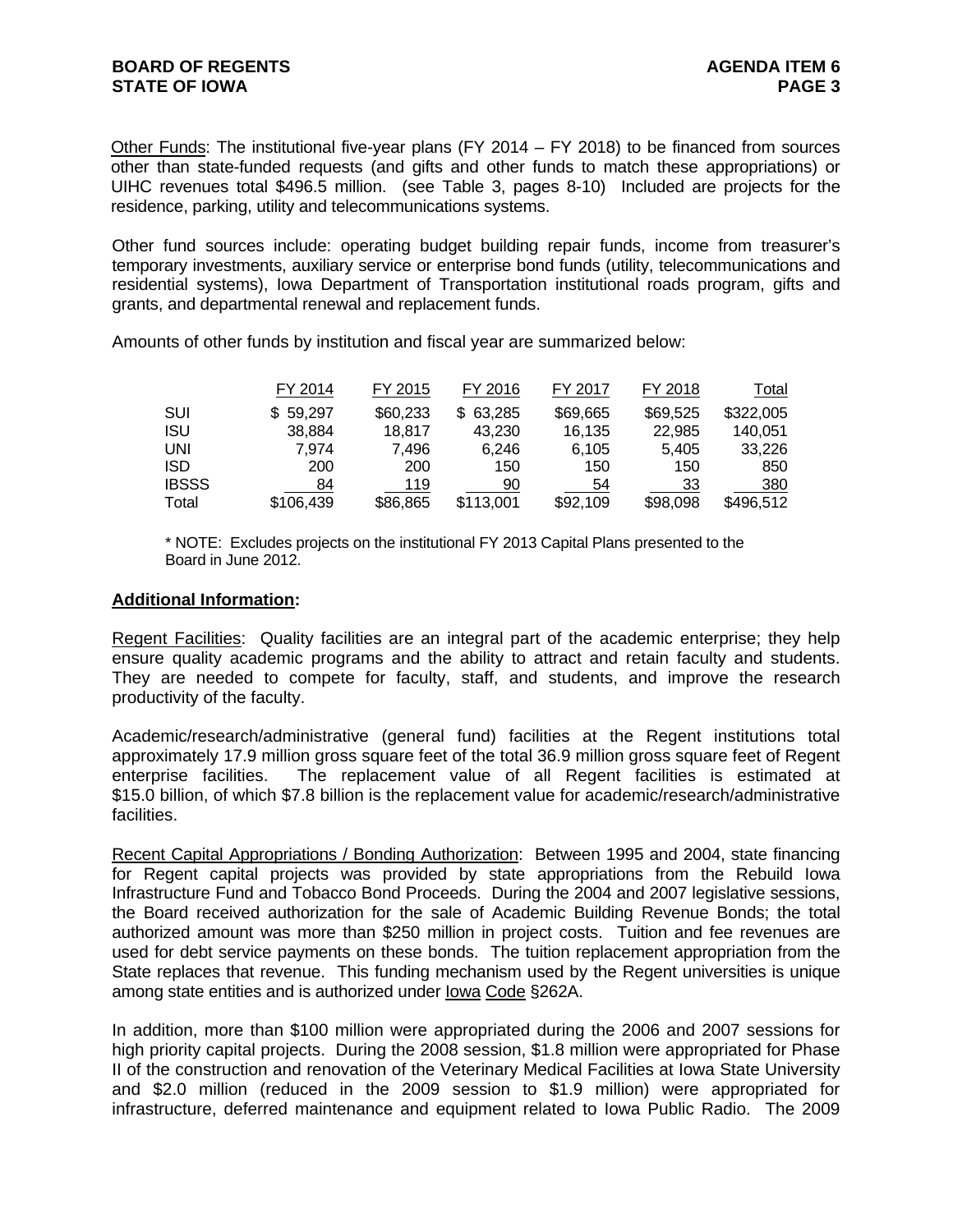Other Funds: The institutional five-year plans (FY 2014 – FY 2018) to be financed from sources other than state-funded requests (and gifts and other funds to match these appropriations) or UIHC revenues total \$496.5 million. (see Table 3, pages 8-10) Included are projects for the residence, parking, utility and telecommunications systems.

Other fund sources include: operating budget building repair funds, income from treasurer's temporary investments, auxiliary service or enterprise bond funds (utility, telecommunications and residential systems), Iowa Department of Transportation institutional roads program, gifts and grants, and departmental renewal and replacement funds.

Amounts of other funds by institution and fiscal year are summarized below:

|              | FY 2014       | FY 2015  | FY 2016      | FY 2017  | FY 2018  | Total     |
|--------------|---------------|----------|--------------|----------|----------|-----------|
| SUI          | 59,297<br>SS. | \$60,233 | 63,285<br>S. | \$69,665 | \$69,525 | \$322,005 |
| <b>ISU</b>   | 38,884        | 18,817   | 43,230       | 16.135   | 22.985   | 140.051   |
| <b>UNI</b>   | 7.974         | 7.496    | 6.246        | 6.105    | 5.405    | 33,226    |
| <b>ISD</b>   | 200           | 200      | 150          | 150      | 150      | 850       |
| <b>IBSSS</b> | 84            | 119      | 90           | 54       | 33       | 380       |
| Total        | \$106,439     | \$86,865 | \$113,001    | \$92,109 | \$98,098 | \$496.512 |

\* NOTE: Excludes projects on the institutional FY 2013 Capital Plans presented to the Board in June 2012.

### **Additional Information:**

Regent Facilities:Quality facilities are an integral part of the academic enterprise; they help ensure quality academic programs and the ability to attract and retain faculty and students. They are needed to compete for faculty, staff, and students, and improve the research productivity of the faculty.

Academic/research/administrative (general fund) facilities at the Regent institutions total approximately 17.9 million gross square feet of the total 36.9 million gross square feet of Regent enterprise facilities. The replacement value of all Regent facilities is estimated at \$15.0 billion, of which \$7.8 billion is the replacement value for academic/research/administrative facilities.

Recent Capital Appropriations / Bonding Authorization: Between 1995 and 2004, state financing for Regent capital projects was provided by state appropriations from the Rebuild Iowa Infrastructure Fund and Tobacco Bond Proceeds. During the 2004 and 2007 legislative sessions, the Board received authorization for the sale of Academic Building Revenue Bonds; the total authorized amount was more than \$250 million in project costs. Tuition and fee revenues are used for debt service payments on these bonds. The tuition replacement appropriation from the State replaces that revenue. This funding mechanism used by the Regent universities is unique among state entities and is authorized under Iowa Code §262A.

In addition, more than \$100 million were appropriated during the 2006 and 2007 sessions for high priority capital projects. During the 2008 session, \$1.8 million were appropriated for Phase II of the construction and renovation of the Veterinary Medical Facilities at Iowa State University and \$2.0 million (reduced in the 2009 session to \$1.9 million) were appropriated for infrastructure, deferred maintenance and equipment related to Iowa Public Radio. The 2009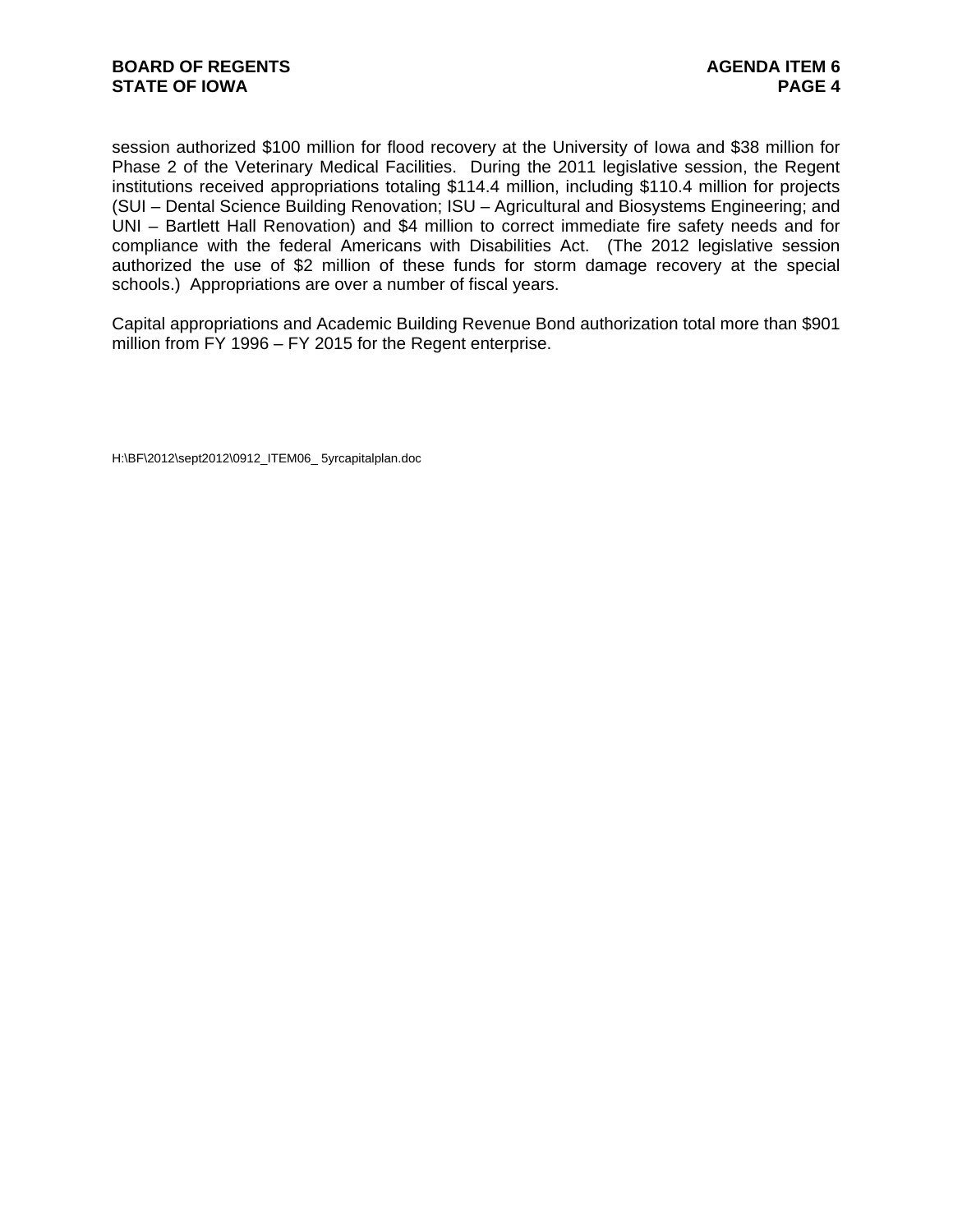session authorized \$100 million for flood recovery at the University of Iowa and \$38 million for Phase 2 of the Veterinary Medical Facilities. During the 2011 legislative session, the Regent institutions received appropriations totaling \$114.4 million, including \$110.4 million for projects (SUI – Dental Science Building Renovation; ISU – Agricultural and Biosystems Engineering; and UNI – Bartlett Hall Renovation) and \$4 million to correct immediate fire safety needs and for compliance with the federal Americans with Disabilities Act. (The 2012 legislative session authorized the use of \$2 million of these funds for storm damage recovery at the special schools.) Appropriations are over a number of fiscal years.

Capital appropriations and Academic Building Revenue Bond authorization total more than \$901 million from FY 1996 – FY 2015 for the Regent enterprise.

H:\BF\2012\sept2012\0912\_ITEM06\_ 5yrcapitalplan.doc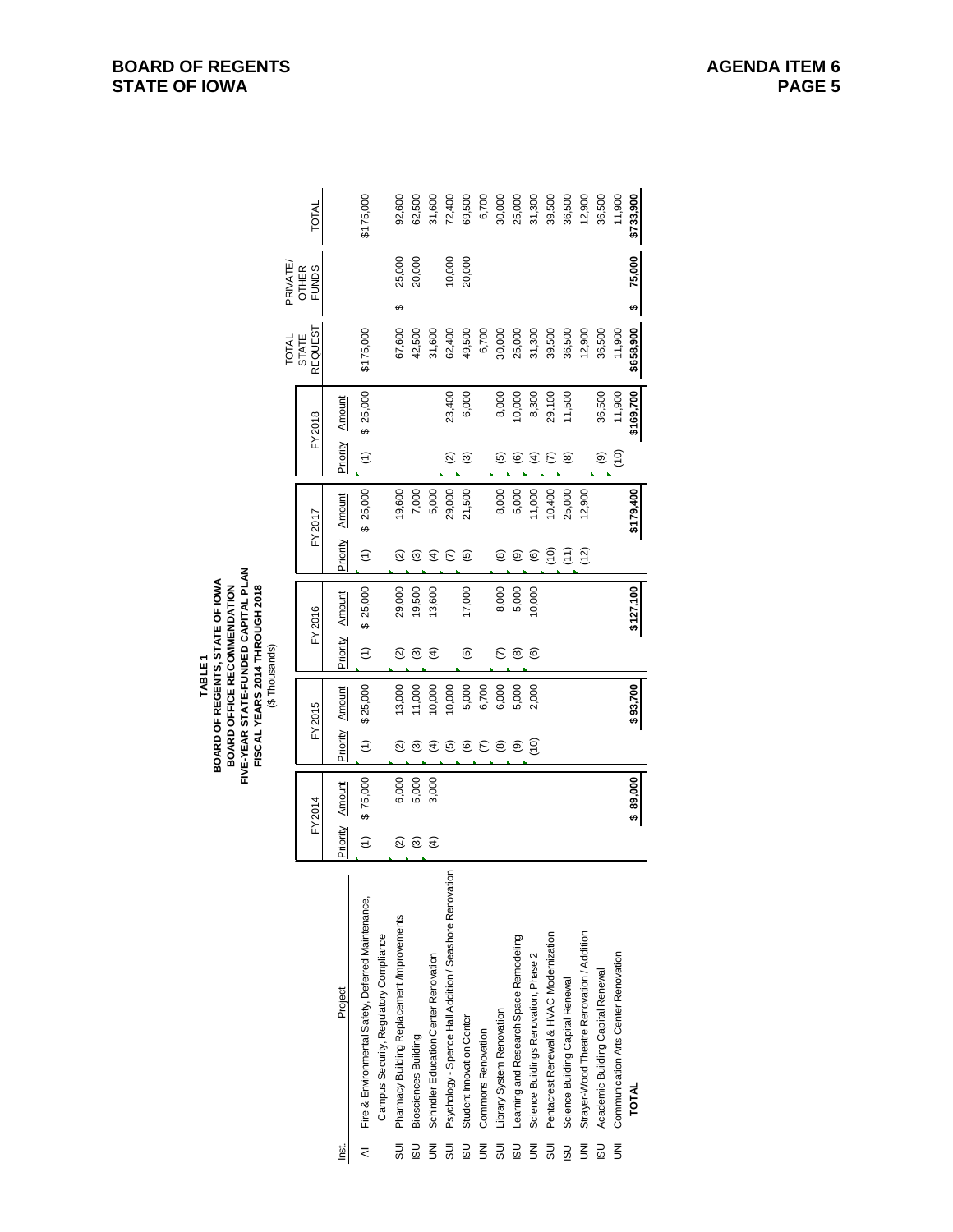|                         |                                                         |                          |          |                    |          |                      |           |                      |           |               |           | TOTAL                   | PRIVATE,                     |           |
|-------------------------|---------------------------------------------------------|--------------------------|----------|--------------------|----------|----------------------|-----------|----------------------|-----------|---------------|-----------|-------------------------|------------------------------|-----------|
|                         |                                                         |                          | FY2014   |                    | FY2015   |                      | FY2016    |                      | FY2017    |               | FY 2018   | REQUEST<br><b>STATE</b> | <b>OTHER</b><br><b>FUNDS</b> | TOTAL     |
| <u>İsq</u>              | Project                                                 | Priority                 | Amount   | Priority           | Amount   | Priority             | Amount    | Priority             | Amount    | Priority      | Amount    |                         |                              |           |
| ₹                       | Fire & Environmental Safety, Deferred Maintenance,      | $\widehat{\epsilon}$     | \$75,000 | $\widehat{z}$      | \$25,000 | $\widehat{\epsilon}$ | \$25,000  | $\widehat{\epsilon}$ | \$25,000  | $\widehat{z}$ | \$25,000  | \$175,000               |                              | \$175,000 |
|                         | Campus Security, Regulatory Compliance                  |                          |          |                    |          |                      |           |                      |           |               |           |                         |                              |           |
| 5UI                     | Pharmacy Building Replacement /Improvements             | ତ୍ର                      | 6,000    | $\widehat{\infty}$ | 13,000   | $\widehat{\infty}$   | 29,000    | ତ୍ର                  | 19,600    |               |           | 67,600                  | 25,000<br>ക                  | 92,600    |
| $\overline{5}$          | <b>Biosciences Building</b>                             | $\widehat{\mathfrak{G}}$ | 5,000    | ල                  | 1,000    | ణ                    | 19,500    | ల్                   | 7,000     |               |           | 42,500                  | 20,000                       | 62,500    |
| $\overline{5}$          | Schindler Education Center Renovation                   | $\widehat{f}$            | 3,000    | E                  | 0.000    | E)                   | 13,600    | $\widehat{E}$        | 5,000     |               |           | 31,600                  |                              | 31,600    |
| $\overline{5}$          | Psychology - Spence Hall Addition / Seashore Renovation |                          |          | ම                  | 10,000   |                      |           | E                    | 29,000    | ହ             | 23,400    | 62,400                  | 10,000                       | 72,400    |
| $\overline{\omega}$     | Student Innovation Center                               |                          |          | ම                  | 5,000    | ම                    | 17,000    | <u>ම</u>             | 21,500    | ම             | 6,000     | 49,500                  | 20,000                       | 69,500    |
| $\overline{5}$          | <b>Commons Renovation</b>                               |                          |          | ε                  | 6,700    |                      |           |                      |           |               |           | 6,700                   |                              | 6,700     |
| $\overline{5}$          | Library System Renovation                               |                          |          | @                  | 6,000    | ε                    | 8,000     | @                    | 8,000     | ම             | 8,000     | 30,000                  |                              | 30,000    |
| <b>USI</b>              | Learning and Research Space Remodeling                  |                          |          | ම                  | 5,000    | ම                    | 5,000     | ම                    | 5,000     | ©             | 10,000    | 25,000                  |                              | 25,000    |
| $\overline{5}$          | Science Buildings Renovation, Phase 2                   |                          |          | (10)               | 2,000    | $\circlede$          | 10,000    | $\circledcirc$       | 11,000    | E             | 8,300     | 31,300                  |                              | 31,300    |
| ms                      | Pentacrest Renewal & HVAC Modernization                 |                          |          |                    |          |                      |           | б<br>С               | 10,400    | ε             | 29,100    | 39,500                  |                              | 39,500    |
| <b>USI</b>              | Science Building Capital Renewal                        |                          |          |                    |          |                      |           | $\left(11\right)$    | 25,000    | ඔ             | 11,500    | 36,500                  |                              | 36,500    |
| $\overline{\mathbf{z}}$ | Strayer-Wood Theatre Renovation / Addition              |                          |          |                    |          |                      |           | (12)                 | 12,900    |               |           | 12,900                  |                              | 12,900    |
| <b>USI</b>              | Academic Building Capital Renewal                       |                          |          |                    |          |                      |           |                      |           | ම             | 36,500    | 36,500                  |                              | 36,500    |
| $\bar{z}$               | Communication Arts Center Renovation                    |                          |          |                    |          |                      |           |                      |           | (10)          | 11,900    | 11,900                  |                              | 11,900    |
|                         | <b>TOTAL</b>                                            |                          | \$89,000 |                    | \$93,700 |                      | \$127,100 |                      | \$179,400 |               | \$169,700 | \$658,900               | 75,000<br>th)                | \$733,900 |

# **BOARD OF REGENTS STATE OF IOWA**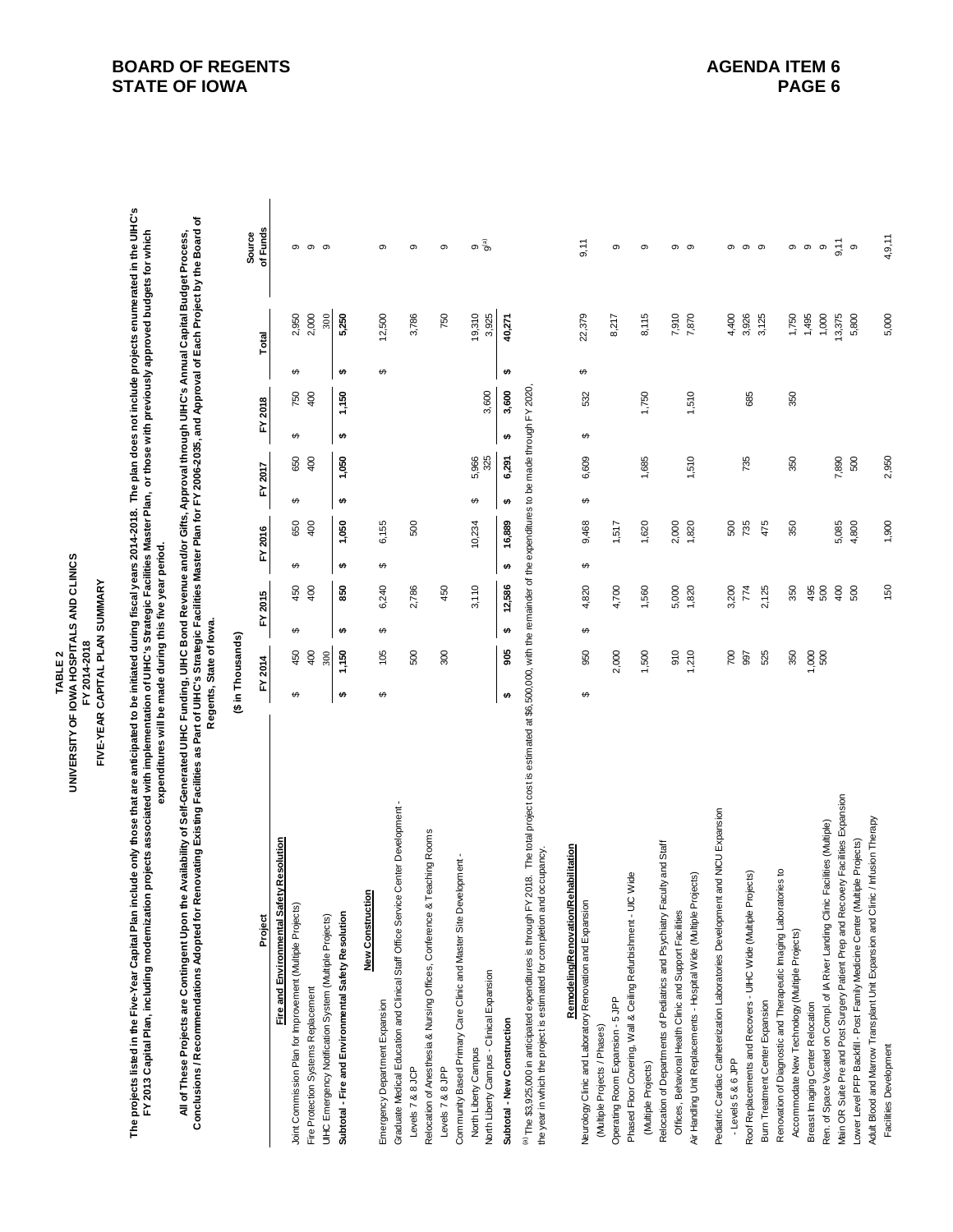UNIVERSITY OF IOWA HOSPITALS AND CLINICS **UNIVERSITY OF IOWA HOSPITALS AND CLINICS** FIVE-YEAR CAPITAL PLAN SUMMARY **FIVE-YEAR CAPITAL PLAN SUMMARY** FY 2014-2018 **FY 2014-2018** TABLE<sub>2</sub> **TABLE 2**

The projects listed in the Five-Year Capital Plan include only those that are anticipated to be initiated during fiscal years 2014-2018. The plan does not include projects enumerated in the UIHC's<br>FY 2013 Capital Plan, in **The projects listed in the Five-Year Capital Plan include only those that are anticipated to be initiated during fiscal years 2014-2018. The plan does not include projects enumerated in the UIHC's FY 2013 Capital Plan, including modernization projects associated with implementation of UIHC's Strategic Facilities Master Plan, or those with previously approved budgets for which** 

expenditures will be made during this five year period. **expenditures will be made during this five year period.**

All of These Projects are Contingent Upon the Availability of Self-Generated UIHC Funding, UIHC Bond Revenue and/or Gifts, Approval through UIHC's Annual Capital Budget Process,<br>Conclusions / Recommendations Adopted for Re **Conclusions / Recommendations Adopted for Renovating Existing Facilities as Part of UIHC's Strategic Facilities Master Plan for FY 2006-2035, and Approval of Each Project by the Board of All of These Projects are Contingent Upon the Availability of Self-Generated UIHC Funding, UIHC Bond Revenue and/or Gifts, Approval through UIHC's Annual Capital Budget Process,**  Regents, State of lowa.

**Regents, State of Iowa.**

|                                                                                                                                                                                                                                                                            | (\$ in Thousands) |         |    |         |    |            |         |       |        |        |          |
|----------------------------------------------------------------------------------------------------------------------------------------------------------------------------------------------------------------------------------------------------------------------------|-------------------|---------|----|---------|----|------------|---------|-------|--------|--------|----------|
|                                                                                                                                                                                                                                                                            |                   | FY 2015 |    | FY 2016 |    |            |         |       | Total  |        | Source   |
| Project                                                                                                                                                                                                                                                                    | FY 2014           |         |    |         |    | FY 2017    | FY 2018 |       |        |        | of Funds |
| Fire and Environmental Safety Resolution                                                                                                                                                                                                                                   |                   |         |    |         |    |            |         |       |        |        |          |
| Joint Commission Plan for Improvement (Multiple Projects)                                                                                                                                                                                                                  | 450               | 450     | œ  | 650     | မာ | 650        | မာ      | 750   |        | 2,950  | თ        |
| Fire Protection Systems Replacement                                                                                                                                                                                                                                        | 400               | 400     |    | 400     |    | 400        |         | 400   |        | 2,000  | $\sigma$ |
| UlHC Emergency Notification System (Multiple Projects)                                                                                                                                                                                                                     | 300               |         |    |         |    |            |         |       |        | 300    | σ.       |
| Subtotal - Fire and Environmental Safety Resolution                                                                                                                                                                                                                        | <b>1,150</b>      | 850     |    | 1,050   |    | <b>050</b> |         | 1,150 |        | 5,250  |          |
| uction<br>New Constru                                                                                                                                                                                                                                                      |                   |         |    |         |    |            |         |       |        |        |          |
| Emergency Department Expansion                                                                                                                                                                                                                                             | 105<br>မာ         | 6,240   |    | 6,155   |    |            |         |       | ക      | 12,500 | ග        |
| Graduate Medical Education and Clinical Staff Office Service Center Development                                                                                                                                                                                            |                   |         |    |         |    |            |         |       |        |        |          |
| Levels 7 & 8 JCP                                                                                                                                                                                                                                                           | 500               | 2,786   |    | 500     |    |            |         |       |        | 3,786  | σ        |
| Relocation of Anesthesia & Nursing Offices, Conference & Teaching Rooms                                                                                                                                                                                                    |                   |         |    |         |    |            |         |       |        |        |          |
| Levels 7 & 8 JPP                                                                                                                                                                                                                                                           | 300               | 450     |    |         |    |            |         |       |        | 750    | σ.       |
| Community Based Primary Care Clinic and Master Site Development -                                                                                                                                                                                                          |                   |         |    |         |    |            |         |       |        |        |          |
| North Liberty Campus                                                                                                                                                                                                                                                       |                   | 3,110   |    | 10,234  |    | 5,966      |         |       |        | 19,310 | σ        |
| North Liberty Campus - Clinical Expansion                                                                                                                                                                                                                                  |                   |         |    |         |    | 325        |         | 3,600 |        | 3,925  | ೄိ       |
| Subtotal - New Construction                                                                                                                                                                                                                                                | 905<br>မာ         | 12,586  | u) | 16,889  |    | 6,291      |         | 3,600 | 40,271 |        |          |
| FY 2018. The total project cost is estimated at \$6,500,000, with the remainder of the expenditures to be made through FY 2020<br>and occupancy<br>(a) The \$3,925,000 in anticipated expenditures is through<br>the year in which the project is estimated for completion |                   |         |    |         |    |            |         |       |        |        |          |

| Remodeling/Renovation/Rehabilitation                                              |   |              |   |             |       |   |       |   |       |   |                  |                   |
|-----------------------------------------------------------------------------------|---|--------------|---|-------------|-------|---|-------|---|-------|---|------------------|-------------------|
| Neurology Clinic and Laboratory Renovation and Expansion                          | ↮ | 950          | ↔ | မာ<br>4,820 | 9,468 | ↔ | 6,609 | ↔ | 532   | ↔ | 22,379           | 9,11              |
| (Multiple Projects / Phases)                                                      |   |              |   |             |       |   |       |   |       |   |                  |                   |
| Operating Room Expansion - 5 JPP                                                  |   | 2,000        |   | 4,700       | 1,517 |   |       |   |       |   | 8,217            | တ                 |
| Phased Floor Covering, Wall & Ceiling Refurbishment - UIC Wide                    |   |              |   |             |       |   |       |   |       |   |                  |                   |
| (Multiple Projects)                                                               |   | 1,500        |   | 1,560       | 1,620 |   | 1,685 |   | 1,750 |   | 8,115            | ග                 |
| Relocation of Departments of Pediatrics and Psychiatry Faculty and Staff          |   |              |   |             |       |   |       |   |       |   |                  |                   |
| Offices, Behavioral Health Clinic and Support Facilities                          |   |              |   | 5,000       | 2,000 |   |       |   |       |   | 7,910            | တ                 |
| Air Handling Unit Replacements - Hospital Wide (Multiple Projects)                |   | 910<br>1,210 |   | 1,820       | 1,820 |   | 1,510 |   | 1,510 |   | 7,870            | ග                 |
| Pediatric Cardiac Catheterization Laboratories Development and NICU Expansion     |   |              |   |             |       |   |       |   |       |   |                  |                   |
| - Levels 5 & 6 JPP                                                                |   | 700          |   | 3,200       | 500   |   |       |   |       |   |                  | თ                 |
| Roof Replacements and Recovers - UIHC Wide (Multiple Projects)                    |   | 997          |   | 774         | 735   |   | 735   |   | 685   |   | 4,400<br>3,926   | თ                 |
| Burn Treatment Center Expansion                                                   |   | 525          |   | 2,125       | 475   |   |       |   |       |   | 3,125            | တ                 |
| Renovation of Diagnostic and Therapeutic Imaging Laboratories to                  |   |              |   |             |       |   |       |   |       |   |                  |                   |
| Accommodate New Technology (Multiple Projects)                                    |   | 350          |   | 350         | 350   |   | 350   |   | 350   |   | $1,750$<br>1,495 | თ თ               |
| Breast Imaging Center Relocation                                                  |   | 000          |   | 495         |       |   |       |   |       |   |                  |                   |
| Ren. of Space Vacated on Compl. of IA River Landing Clinic Facilities (Multiple)  |   | 500          |   | 500         |       |   |       |   |       |   | 1,000            |                   |
| Main OR Suite Pre and Post Surgery Patient Prep and Recovery Facilities Expansion |   |              |   | 400         | 5,085 |   | .890  |   |       |   | 13,375           | ၈ $\frac{1}{2}$ ၈ |
| Lower Level PFP Backfill - Post Family Medicine Center (Multiple Projects)        |   |              |   | 500         | 4,800 |   | 500   |   |       |   | 5,800            |                   |
| Adult Blood and Marrow Transplant Unit Expansion and Clinic / Infusion Therapy    |   |              |   |             |       |   |       |   |       |   |                  |                   |
| Facilities Development                                                            |   |              |   | 150         | 1,900 |   | 2,950 |   |       |   | 5,000            | 4,9,11            |

### **BOARD OF REGENTS STATE OF IOWA**

4,9,11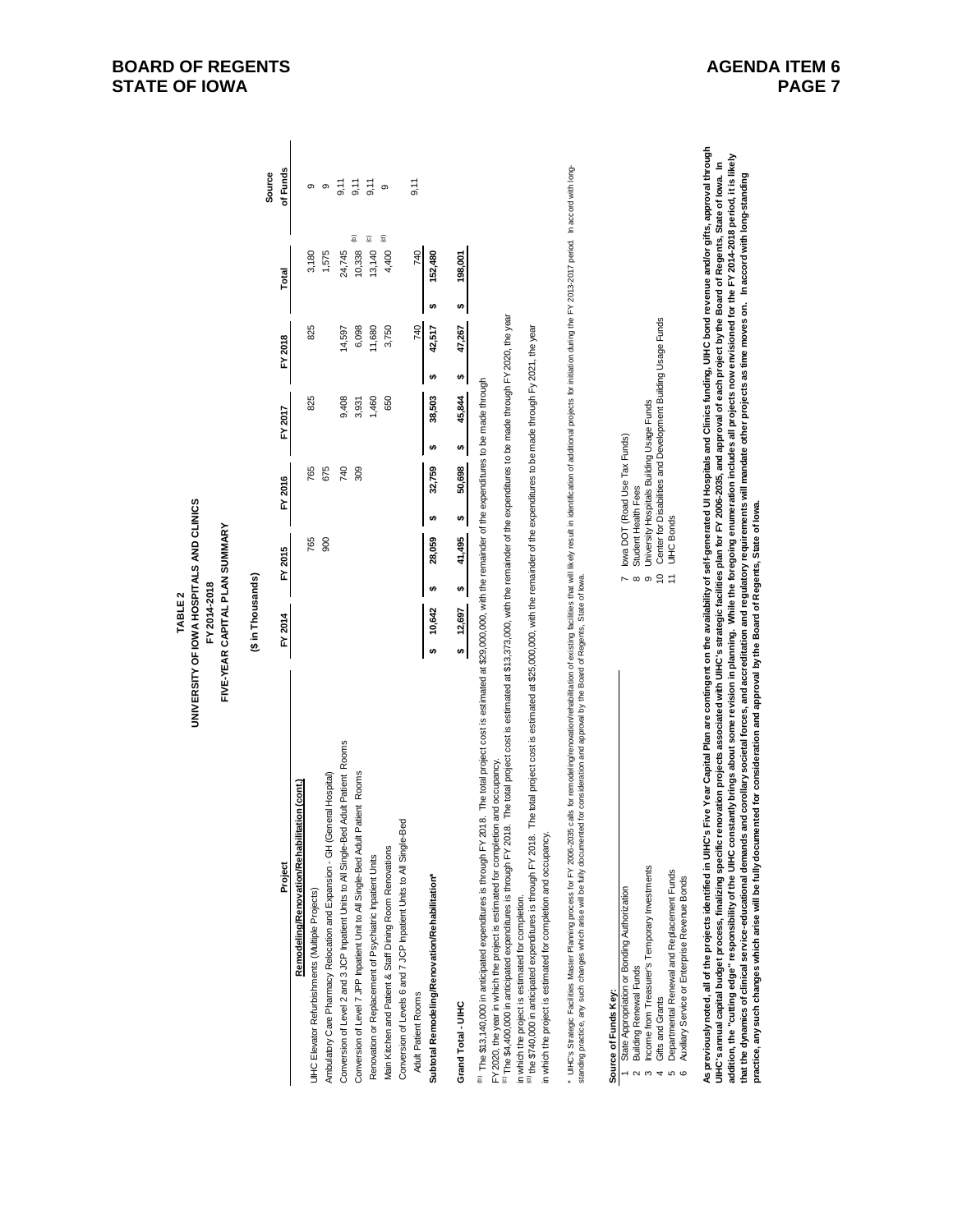|                                                                                                                                                                                                                                                                                                                                                                                                                                                                                                                                                                                                                                                                                                                                                                                                                                                                                                                                                                                                                                           | UNIVERSITY OF IOWA HOSPITALS AND CLINICS<br>FIVE-YEAR CAPITAL PLAN SUMMARY<br>FY 2014-2018<br>TABLE <sub>2</sub> |                     |                                           |                                                              |                                 |              |                                |  |
|-------------------------------------------------------------------------------------------------------------------------------------------------------------------------------------------------------------------------------------------------------------------------------------------------------------------------------------------------------------------------------------------------------------------------------------------------------------------------------------------------------------------------------------------------------------------------------------------------------------------------------------------------------------------------------------------------------------------------------------------------------------------------------------------------------------------------------------------------------------------------------------------------------------------------------------------------------------------------------------------------------------------------------------------|------------------------------------------------------------------------------------------------------------------|---------------------|-------------------------------------------|--------------------------------------------------------------|---------------------------------|--------------|--------------------------------|--|
|                                                                                                                                                                                                                                                                                                                                                                                                                                                                                                                                                                                                                                                                                                                                                                                                                                                                                                                                                                                                                                           | (\$ in Thousands)                                                                                                |                     |                                           |                                                              |                                 |              |                                |  |
| Project                                                                                                                                                                                                                                                                                                                                                                                                                                                                                                                                                                                                                                                                                                                                                                                                                                                                                                                                                                                                                                   | FY 2014                                                                                                          | FY 2015             | FY 2016                                   | FY 2017                                                      | FY 2018                         | Total        | of Funds<br>Source             |  |
| Remodeling/Renovation/Rehabilitation (cont.)                                                                                                                                                                                                                                                                                                                                                                                                                                                                                                                                                                                                                                                                                                                                                                                                                                                                                                                                                                                              |                                                                                                                  |                     |                                           |                                                              |                                 |              |                                |  |
| UIHC Elevator Refurbishments (Multiple Projects)                                                                                                                                                                                                                                                                                                                                                                                                                                                                                                                                                                                                                                                                                                                                                                                                                                                                                                                                                                                          |                                                                                                                  | 765                 | 765                                       | 825                                                          | 825                             | 3,180        | თ                              |  |
| Ambulatory Care Pharmacy Relocation and Expansion - GH (General Hospital)                                                                                                                                                                                                                                                                                                                                                                                                                                                                                                                                                                                                                                                                                                                                                                                                                                                                                                                                                                 |                                                                                                                  | 900                 | 675                                       |                                                              |                                 | 1,575        | ၜ                              |  |
| Adult Patient Rooms<br>Conversion of Level 2 and 3 JCP Inpatient Units to All Single-Bed                                                                                                                                                                                                                                                                                                                                                                                                                                                                                                                                                                                                                                                                                                                                                                                                                                                                                                                                                  |                                                                                                                  |                     | 740                                       | 9,408                                                        | 14,597                          | 24,745       | 9,11                           |  |
| Conversion of Level 7 JPP Inpatient Unit to All Single-Bed Adult Patient Rooms                                                                                                                                                                                                                                                                                                                                                                                                                                                                                                                                                                                                                                                                                                                                                                                                                                                                                                                                                            |                                                                                                                  |                     | 309                                       | 3,931                                                        | 6,098                           | 10,338       | 9,11<br>$\widehat{\mathsf{e}}$ |  |
| Renovation or Replacement of Psychiatric Inpatient Units                                                                                                                                                                                                                                                                                                                                                                                                                                                                                                                                                                                                                                                                                                                                                                                                                                                                                                                                                                                  |                                                                                                                  |                     |                                           | 1,460                                                        | 11,680                          | 13,140       | 9,11<br>©                      |  |
| Main Kitchen and Patient & Staff Dining Room Renovations                                                                                                                                                                                                                                                                                                                                                                                                                                                                                                                                                                                                                                                                                                                                                                                                                                                                                                                                                                                  |                                                                                                                  |                     |                                           | 650                                                          | 3,750                           | 4,400        | ၜ<br>$\widehat{\mathbf{z}}$    |  |
| Conversion of Levels 6 and 7 JCP Inpatient Units to All Single-Bed                                                                                                                                                                                                                                                                                                                                                                                                                                                                                                                                                                                                                                                                                                                                                                                                                                                                                                                                                                        |                                                                                                                  |                     |                                           |                                                              |                                 |              |                                |  |
| Adult Patient Rooms                                                                                                                                                                                                                                                                                                                                                                                                                                                                                                                                                                                                                                                                                                                                                                                                                                                                                                                                                                                                                       |                                                                                                                  |                     |                                           |                                                              | 740                             | 740          | 9,11                           |  |
| Subtotal Remodeling/Renovation/Rehabilitation*                                                                                                                                                                                                                                                                                                                                                                                                                                                                                                                                                                                                                                                                                                                                                                                                                                                                                                                                                                                            | 10,642<br>↔                                                                                                      | 28,059<br>₩         | 32,759<br>₩                               | 38,503<br>₩                                                  | 42,517<br>₩                     | 152,480<br>₩ |                                |  |
| Grand Total - UIHC                                                                                                                                                                                                                                                                                                                                                                                                                                                                                                                                                                                                                                                                                                                                                                                                                                                                                                                                                                                                                        | 12,697<br>₩                                                                                                      | 41,495<br>₩         | 50,698<br>₩                               | 45,844<br>₩                                                  | 47,267<br>$\boldsymbol{\omega}$ | 198,001<br>₩ |                                |  |
| The total project cost is estimated at \$13,373,000, with the remainder of the expenditures to be made through FY 2020, the year<br>he total project cost is estimated at \$25,000,000, with the remainder of the expenditures to be made through Fy 2021, the year<br>8. The total project cost is estimated at \$29,000,000, with the remainder of the expenditures to be made through<br>and occupancy.<br><sup>to)</sup> The \$13,140,000 in anticipated expenditures is through FY 201<br>FY 2020, the year in which the project is estimated for completion<br><sup>(c)</sup> The \$4,400,000 in anticipated expenditures is through FY 2018.<br>in which the project is estimated for completion and occupancy.<br><sup>(d)</sup> the \$740,000 in anticipated expenditures is through FY 2018.<br>in which the project is estimated for completion.                                                                                                                                                                               |                                                                                                                  |                     |                                           |                                                              |                                 |              |                                |  |
| * UHC's Strategic Facilities Master Plaming process for FY 2006-2035 calls for fermodeling/renoadility/relation of existing facilities that will likely result in identification of additional projects for initiation during                                                                                                                                                                                                                                                                                                                                                                                                                                                                                                                                                                                                                                                                                                                                                                                                             |                                                                                                                  |                     |                                           |                                                              |                                 |              |                                |  |
| Source of Funds Key:                                                                                                                                                                                                                                                                                                                                                                                                                                                                                                                                                                                                                                                                                                                                                                                                                                                                                                                                                                                                                      |                                                                                                                  |                     |                                           |                                                              |                                 |              |                                |  |
| State Appropriation or Bonding Authorization                                                                                                                                                                                                                                                                                                                                                                                                                                                                                                                                                                                                                                                                                                                                                                                                                                                                                                                                                                                              |                                                                                                                  |                     | owa DOT (Road Use Tax Funds)              |                                                              |                                 |              |                                |  |
| <b>Building Renewal Funds</b>                                                                                                                                                                                                                                                                                                                                                                                                                                                                                                                                                                                                                                                                                                                                                                                                                                                                                                                                                                                                             |                                                                                                                  | Student Health Fees |                                           |                                                              |                                 |              |                                |  |
| Income from Treasurer's Temporary Investments<br>Gifts and Grants<br>ო<br>4                                                                                                                                                                                                                                                                                                                                                                                                                                                                                                                                                                                                                                                                                                                                                                                                                                                                                                                                                               |                                                                                                                  | <b>႔ ∞ ၈ ၃ ±</b>    | University Hospitals Building Usage Funds | Center for Disabilities and Development Building Usage Funds |                                 |              |                                |  |
| Departmental Renewal and Replacement Funds<br>Auxiliary Service or Enterprise Revenue Bonds<br>10 Q                                                                                                                                                                                                                                                                                                                                                                                                                                                                                                                                                                                                                                                                                                                                                                                                                                                                                                                                       |                                                                                                                  | <b>UIHC</b> Bonds   |                                           |                                                              |                                 |              |                                |  |
| As previously noted, all of the projects identified in UIHC's Five Year Capital Plan are contingent on the availability of self-generated UI Hospitals and Clinics funding, UIHC bond revenue and/or gifts, approval through<br>addition, the "cutting edge" responsibility of the UIHC constantly brings about some revision in planning. While the foregoing enumeration includes all projects now envisioned for the FY 2014-2018 period, it is likely<br>UIHC's annual capital budget process, finalizing specific renovation projects associated with UIHC's strategic facilities plan for FY 2006-2035, and approval of each project by the Board of Regents, State of lowa. In<br>that the dynamics of clinical service-educational demands and coroliationess, and accreditation and regulatory requirements will mandate other projects as time moves on. In accord with long-standing<br>practice, any such changes which arise will be fully documented for consideration and approval by the Board of Regents, State of Iowa. |                                                                                                                  |                     |                                           |                                                              |                                 |              |                                |  |

# **BOARD OF REGENTS STATE OF IOWA**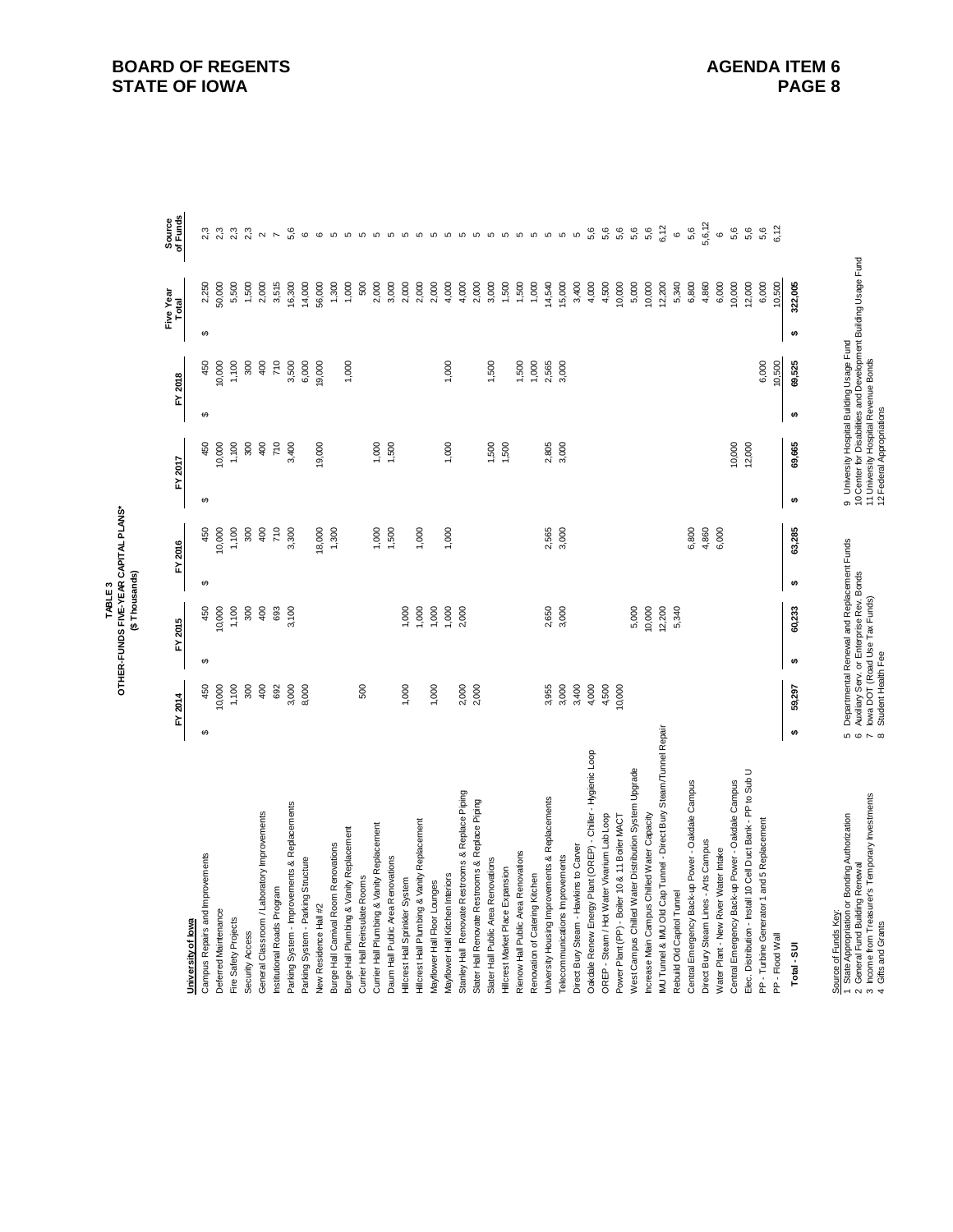|                                                                                            |               |                    |          |                                                                           |          |         |            |                                                                                                        |          |         | Five Year |         | Source<br>of Funds    |
|--------------------------------------------------------------------------------------------|---------------|--------------------|----------|---------------------------------------------------------------------------|----------|---------|------------|--------------------------------------------------------------------------------------------------------|----------|---------|-----------|---------|-----------------------|
| University of lowa                                                                         |               | FY 2014            |          | FY 2015                                                                   |          | FY 2016 |            | FY 2017                                                                                                |          | FY 2018 | Total     |         |                       |
| Campus Repairs and Improvements                                                            | $\Theta$      | 450                | $\Theta$ | 450                                                                       | $\theta$ | 450     | $\epsilon$ | 450                                                                                                    | $\Theta$ | 450     | $\Theta$  | 2,250   |                       |
| Deferred Maintenance                                                                       |               | 10,000             |          | 10,000                                                                    |          | 10,000  |            | 0,000                                                                                                  |          | 10,000  |           | 50,000  |                       |
| Fire Safety Projects                                                                       |               | 1,100              |          | 1,100                                                                     |          | 1,100   |            | 1,100                                                                                                  |          | 1,100   |           | 5,500   | 2 <sub>3</sub>        |
| Security Access                                                                            |               | 300                |          | 300                                                                       |          | 300     |            | 300                                                                                                    |          | 300     |           | 1,500   | 2 <sub>3</sub>        |
| General Classroom / Laboratory Improvements                                                |               | 400                |          | 400                                                                       |          | 400     |            | 400                                                                                                    |          | 400     |           | 2,000   | $\sim$ $\sim$         |
| Institutional Roads Program                                                                |               | 692                |          | 693                                                                       |          | 710     |            | 710                                                                                                    |          | 710     |           | 3,515   |                       |
| Parking System - Improvements & Replacements                                               |               | 3,000              |          | 3,100                                                                     |          | 3,300   |            | 3,400                                                                                                  |          | 3,500   |           | 16,300  | 5,6                   |
| Parking System - Parking Structure                                                         |               | 8,000              |          |                                                                           |          |         |            |                                                                                                        |          | 6,000   |           | 14,000  | $\mathbf{\circ}$      |
| New Residence Hall #2                                                                      |               |                    |          |                                                                           |          | 18,000  |            | 19,000                                                                                                 |          | 19,000  |           | 56,000  | $\mathbf 6$           |
| Burge Hall Carnival Room Renovations                                                       |               |                    |          |                                                                           |          | 1,300   |            |                                                                                                        |          |         |           | 1,300   |                       |
| Burge Hall Plumbing & Vanity Replacement                                                   |               |                    |          |                                                                           |          |         |            |                                                                                                        |          | 1,000   |           | 1,000   |                       |
| Currier Hall Reinsulate Rooms                                                              |               | 500                |          |                                                                           |          |         |            |                                                                                                        |          |         |           | 500     |                       |
| Currier Hall Plumbing & Vanity Replacement                                                 |               |                    |          |                                                                           |          | 1,000   |            | 1,000                                                                                                  |          |         |           | 2,000   | 000000000000000000000 |
| Daum Hall Public Area Renovations                                                          |               |                    |          |                                                                           |          | 1,500   |            | 1,500                                                                                                  |          |         |           | 3,000   |                       |
| Hillcrest Hall Sprinkler System                                                            |               | 1,000              |          | 000                                                                       |          |         |            |                                                                                                        |          |         |           | 2,000   |                       |
| Hillcrest Hall Plumbing & Vanity Replacement                                               |               |                    |          | 1,000                                                                     |          | 1,000   |            |                                                                                                        |          |         |           | 2,000   |                       |
| Mayflower Hall Floor Lounges                                                               |               | 1,000              |          | 1,000                                                                     |          |         |            |                                                                                                        |          |         |           | 2,000   |                       |
| Mayflower Hall Kitchen Interiors                                                           |               |                    |          | 1,000                                                                     |          | 1,000   |            | 1,000                                                                                                  |          | 1,000   |           | 4,000   |                       |
| Stanley Hall Renovate Restrooms & Replace Piping                                           |               | 2,000              |          | 2,000                                                                     |          |         |            |                                                                                                        |          |         |           | 4,000   |                       |
| Slater Hall Renovate Restrooms & Replace Piping                                            |               | 2,000              |          |                                                                           |          |         |            |                                                                                                        |          |         |           | 2,000   |                       |
| Slater Hall Public Area Renovations                                                        |               |                    |          |                                                                           |          |         |            | 1,500                                                                                                  |          | 1,500   |           | 3,000   |                       |
| Hillcrest Market Place Expansion                                                           |               |                    |          |                                                                           |          |         |            | 1,500                                                                                                  |          |         |           | 1,500   |                       |
| Rienow Hall Public Area Renovations                                                        |               |                    |          |                                                                           |          |         |            |                                                                                                        |          | 1,500   |           | 1,500   |                       |
| Renovation of Catering Kitchen                                                             |               |                    |          |                                                                           |          |         |            |                                                                                                        |          | 1,000   |           | 1,000   |                       |
| University Housing Improvements & Replacements                                             |               | 3,955              |          | 2,650                                                                     |          | 2,565   |            | 2,805                                                                                                  |          | 2,565   |           | 14,540  |                       |
| Telecommunications Improvements                                                            |               | 3,000              |          | 3,000                                                                     |          | 3,000   |            | 3,000                                                                                                  |          | 3,000   |           | 15,000  |                       |
| Direct Bury Steam - Hawkins to Carver                                                      |               | 3,400              |          |                                                                           |          |         |            |                                                                                                        |          |         |           | 3,400   |                       |
| Oakdale Renew Energy Plant (OREP) - Chiller - Hygienic Loop                                |               | 4,000              |          |                                                                           |          |         |            |                                                                                                        |          |         |           | 4,000   | 5,6                   |
| OREP - Steam / Hot Water Vivarium Lab Loop                                                 |               | 4,500              |          |                                                                           |          |         |            |                                                                                                        |          |         |           | 4,500   | 5,6                   |
| Power Plant (PP) - Boiler 10 & 11 Boiler MACT                                              |               | 10,000             |          |                                                                           |          |         |            |                                                                                                        |          |         |           | 10,000  | 5,6                   |
| West Campus Chilled Water Distribution System Upgrade                                      |               |                    |          | 5,000                                                                     |          |         |            |                                                                                                        |          |         |           | 5,000   | 5,6                   |
| Increase Main Campus Chilled Water Capacity                                                |               |                    |          | 10,000                                                                    |          |         |            |                                                                                                        |          |         |           | 10,000  | 5,6                   |
| IMU Tunnel & IMU Old Cap Tunnel - Direct Bury Steam/Tunnel Repair                          |               |                    |          | 12,200                                                                    |          |         |            |                                                                                                        |          |         |           | 12,200  | 6,12                  |
| Rebuild Old Capitol Tunnel                                                                 |               |                    |          | 5,340                                                                     |          |         |            |                                                                                                        |          |         |           | 5,340   | $\mathbf \omega$      |
| Central Emergency Back-up Power - Oakdale Campus                                           |               |                    |          |                                                                           |          | 6,800   |            |                                                                                                        |          |         |           | 6,800   | 5,6                   |
| Direct Bury Steam Lines - Arts Campus                                                      |               |                    |          |                                                                           |          | 4,860   |            |                                                                                                        |          |         |           | 4,860   | 5,6,12                |
| Water Plant - New River Water Intake                                                       |               |                    |          |                                                                           |          | 6,000   |            |                                                                                                        |          |         |           | 6,000   | $\circ$               |
| Central Emergency Back-up Power - Oakdale Campus                                           |               |                    |          |                                                                           |          |         |            | 10,000                                                                                                 |          |         |           | 10,000  | 5,6                   |
| Elec. Distribution - Install 10 Cell Duct Bank - PP to Sub U                               |               |                    |          |                                                                           |          |         |            | 12,000                                                                                                 |          |         |           | 12,000  | 5,6                   |
| PP - Turbine Generator 1 and 5 Replacement                                                 |               |                    |          |                                                                           |          |         |            |                                                                                                        |          | 6,000   |           | 6,000   | 5,6                   |
| PP - Flood Wall                                                                            |               |                    |          |                                                                           |          |         |            |                                                                                                        |          | 10,500  |           | 10,500  | 6,12                  |
| Total - SUI                                                                                | $\bullet$     | 59,297             | ₩        | 60,233                                                                    | ₩        | 63,285  | ₩          | 69,665                                                                                                 | s        | 69,525  | s         | 322,005 |                       |
|                                                                                            |               |                    |          |                                                                           |          |         |            |                                                                                                        |          |         |           |         |                       |
| State Appropriation or Bonding Authorization<br>Source of Funds Key:                       | 66            |                    |          | Departmental Renewal and Replacement Funds                                |          |         |            | 9 University Hospital Building Usage Fund                                                              |          |         |           |         |                       |
| 3 Income from Treasurer's Temporary Investments<br>General Fund Building Renewal<br>$\sim$ | $\sim \infty$ |                    |          | Auxiliary Serv. or Enterprise Rev. Bonds<br>lowa DOT (Road Use Tax Funds) |          |         |            | 10 Center for Disabilities and Development Building Usage Fund<br>11 University Hospital Revenue Bonds |          |         |           |         |                       |
| 4 Gifts and Grants                                                                         |               | Student Health Fee |          |                                                                           |          |         |            | 12 Federal Appropriations                                                                              |          |         |           |         |                       |

# TABLE 3<br>OTHER-FUNDS FIVE-YEAR CAPITAL PLANS\*<br>(\$ Thousands) **OTHER-FUNDS FIVE-YEAR CAPITAL PLANS\* (\$ Thousands)**

**STATE OF IOWA**

**BOARD OF REGENTS**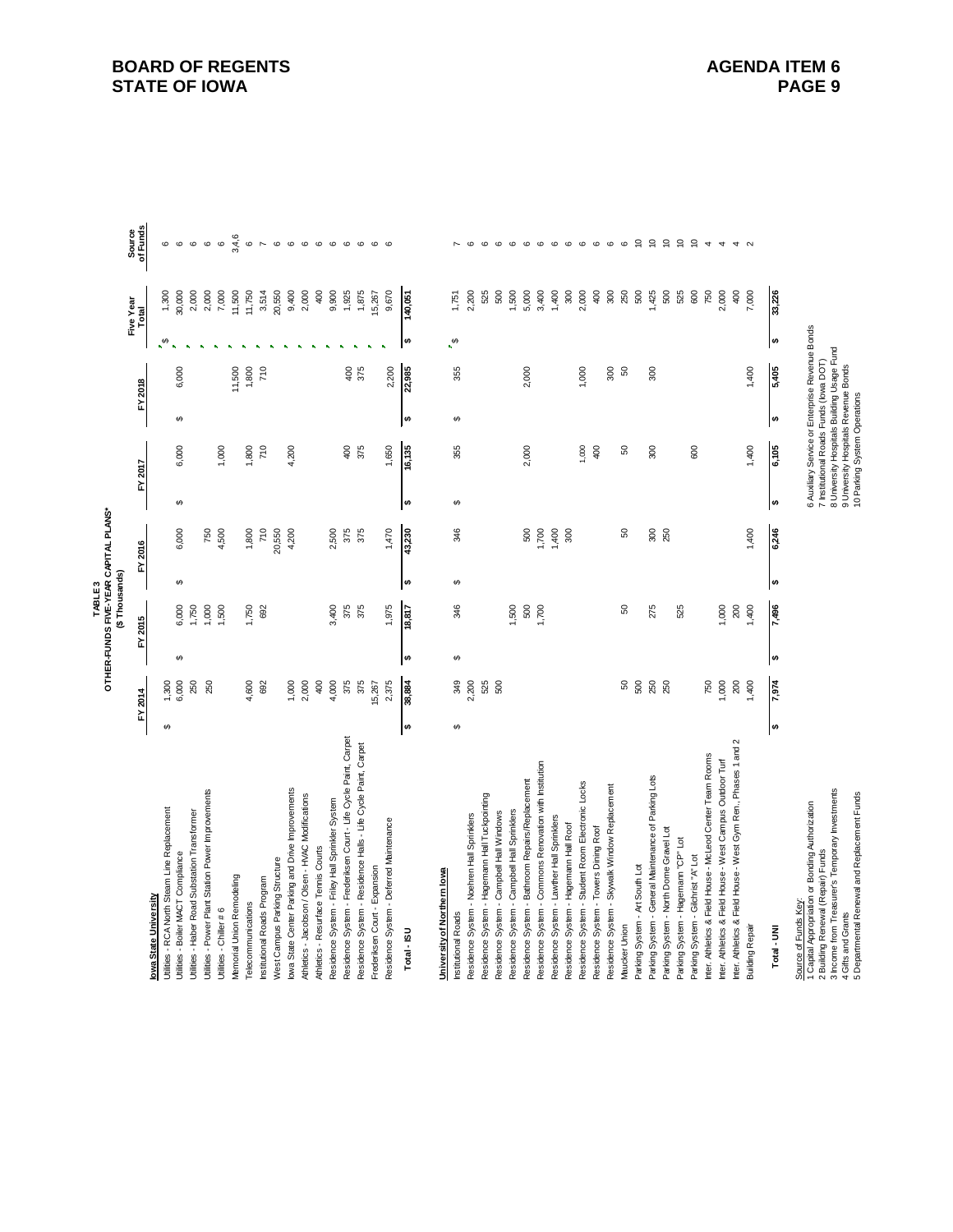|                                                                                       |           |         |           | TABLE <sub>3</sub> |           | OTHER-FUNDS FIVE-YEAR CAPITAL PLANS* |    |                                                                                           |           |         |                        |           |                                                                |
|---------------------------------------------------------------------------------------|-----------|---------|-----------|--------------------|-----------|--------------------------------------|----|-------------------------------------------------------------------------------------------|-----------|---------|------------------------|-----------|----------------------------------------------------------------|
|                                                                                       |           |         |           | (\$Thousands)      |           |                                      |    |                                                                                           |           |         |                        | Five Year | Source<br>of Funds                                             |
| lowa State University                                                                 |           | FY 2014 | ŗ         | 2015               |           | FY 2016                              |    | FY 2017                                                                                   |           | FY 2018 |                        | Total     |                                                                |
| Utilities - RCA North Steam Line Replacement                                          | ↮         | 1,300   |           |                    |           |                                      |    |                                                                                           |           |         | ↔                      | 1,300     | $\circ$                                                        |
| Utilities - Boiler MACT Compliance                                                    |           | 6,000   | ↮         | 6,000              | ↮         | 6,000                                | ↮  | 6,000                                                                                     | ↮         | 6,000   |                        | 30,000    | $\circ$ $\circ$                                                |
| Utilities - Haber Road Substation Transformer                                         |           | 250     |           | 1,750              |           |                                      |    |                                                                                           |           |         |                        | 2,000     |                                                                |
| Utilities - Power Plant Station Power Improvements                                    |           | 250     |           | 1,000              |           | 750                                  |    |                                                                                           |           |         |                        | 2,000     | $\mathbf \omega$                                               |
| Utilities - Chiller # 6                                                               |           |         |           | 1,500              |           | 4,500                                |    | 1,000                                                                                     |           |         |                        | 7,000     | $\circ$                                                        |
| Memorial Union Remodeling                                                             |           |         |           |                    |           |                                      |    |                                                                                           |           | 11,500  |                        | 11,500    | 3,4,6                                                          |
| Telecommunications                                                                    |           | 4,600   |           | 1,750              |           | 1,800                                |    | 1,800                                                                                     |           | 1,800   |                        | 11,750    | $\mathbf \omega$                                               |
| Institutional Roads Program                                                           |           | 692     |           | 692                |           | 710                                  |    | 710                                                                                       |           | 710     |                        | 3,514     | $\overline{ }$                                                 |
| West Campus Parking Structure                                                         |           |         |           |                    |           | 20,550                               |    |                                                                                           |           |         |                        | 20,550    | $\circ$                                                        |
| lowa State Center Parking and Drive Improvements                                      |           | 1,000   |           |                    |           | 4,200                                |    | 4,200                                                                                     |           |         |                        | 9,400     | $\circ$                                                        |
| Athletics - Jacobson / Olsen - HVAC Modifications                                     |           | 2,000   |           |                    |           |                                      |    |                                                                                           |           |         |                        | 2,000     |                                                                |
| Athletics - Resurface Tennis Courts                                                   |           | 400     |           |                    |           |                                      |    |                                                                                           |           |         |                        | 400       |                                                                |
| Residence System - Friley Hall Sprinkler System                                       |           | 4,000   |           | 3,400              |           | 2,500                                |    |                                                                                           |           |         |                        | 9,900     | $\begin{array}{ccc} \circ & \circ & \circ & \circ \end{array}$ |
| Residence System - Frederiksen Court - Life Cycle Paint, Carpet                       |           | 375     |           | 375                |           | 375                                  |    | 400                                                                                       |           | 400     |                        | 1,925     |                                                                |
| Residence System - Residence Halls - Life Cycle Paint, Carpet                         |           | 375     |           | 375                |           | 375                                  |    | 375                                                                                       |           | 375     |                        | 1,875     | $\circ$                                                        |
| Frederiksen Court - Expansion                                                         |           | 15,267  |           |                    |           |                                      |    |                                                                                           |           |         |                        | 15,267    |                                                                |
| Residence System - Deferred Maintenance                                               |           | 2,375   |           | 1,975              |           | 1,470                                |    | 1,650                                                                                     |           | 2,200   |                        | 9,670     | ဖ ဖ                                                            |
| Total - ISU                                                                           | $\bullet$ | 38,884  | $\bullet$ | $\frac{18,817}{ }$ | <b>SA</b> | 43,230                               | ₩  | 16,135                                                                                    | $\bullet$ | 22,985  | $\theta$               | 140,051   |                                                                |
|                                                                                       |           |         |           |                    |           |                                      |    |                                                                                           |           |         |                        |           |                                                                |
| University of Northern Iowa                                                           |           |         |           |                    |           |                                      |    |                                                                                           |           |         |                        |           |                                                                |
| Institutional Roads                                                                   | ↮         | 349     | ↮         | 346                | ↮         | 346                                  | ↮  | 355                                                                                       | ↮         | 355     | $\boldsymbol{\varphi}$ | 1,751     |                                                                |
| Residence System - Noehren Hall Sprinklers                                            |           | 2,200   |           |                    |           |                                      |    |                                                                                           |           |         |                        | 2,200     | $\circ$                                                        |
| Residence System - Hagemann Hall Tuckpointing                                         |           | 525     |           |                    |           |                                      |    |                                                                                           |           |         |                        | 525       | $\circ$                                                        |
| Residence System - Campbell Hall Windows                                              |           | 500     |           |                    |           |                                      |    |                                                                                           |           |         |                        | 500       |                                                                |
| Residence System - Campbell Hall Sprinklers                                           |           |         |           | 1,500              |           |                                      |    |                                                                                           |           |         |                        | 1,500     | $\circ$ $\circ$ $\circ$                                        |
| Residence System - Bathroom Repairs/Replacement                                       |           |         |           | 500                |           | 500                                  |    | 2,000                                                                                     |           | 2,000   |                        | 5,000     |                                                                |
| Residence System - Commons Renovation with Institution                                |           |         |           | 1,700              |           | 1,700                                |    |                                                                                           |           |         |                        | 3,400     |                                                                |
| Residence System - Lawther Hall Sprinklers                                            |           |         |           |                    |           | 1,400                                |    |                                                                                           |           |         |                        | 1,400     | $\circ$ $\circ$ $\circ$                                        |
| Residence System - Hagemann Hall Roof                                                 |           |         |           |                    |           | 300                                  |    |                                                                                           |           |         |                        | $300\,$   |                                                                |
| Residence System - Student Room Electronic Locks                                      |           |         |           |                    |           |                                      |    | 1,000                                                                                     |           | 1,000   |                        | 2,000     |                                                                |
| Residence System - Towers Dining Roof                                                 |           |         |           |                    |           |                                      |    | 400                                                                                       |           |         |                        | 400       | $\begin{array}{ccc} \circ & \circ & \circ & \circ \end{array}$ |
| Residence System - Skywalk Window Replacement                                         |           |         |           |                    |           |                                      |    |                                                                                           |           | 300     |                        | 300       |                                                                |
| Maucker Union                                                                         |           | 50      |           | 8                  |           | 8                                    |    | SO                                                                                        |           | S       |                        | 250       |                                                                |
| Parking System - Art South Lot                                                        |           | 500     |           |                    |           |                                      |    |                                                                                           |           |         |                        | 500       | 99                                                             |
| Parking System - General Maintenance of Parking Lots                                  |           | 250     |           | 275                |           | 300                                  |    | 300                                                                                       |           | 300     |                        | ,425      |                                                                |
| Parking System - North Dome Gravel Lot                                                |           | 250     |           |                    |           | 250                                  |    |                                                                                           |           |         |                        | 500       | $\tilde{a}$                                                    |
| Parking System - Hagemann "CP" Lot                                                    |           |         |           | 525                |           |                                      |    |                                                                                           |           |         |                        | 525       | $\epsilon$                                                     |
| Parking System - Gilchrist "A" Lot                                                    |           |         |           |                    |           |                                      |    | 600                                                                                       |           |         |                        | 600       | $\tilde{a}$                                                    |
| Inter. Athletics & Field House - McLeod Center Team Rooms                             |           | 750     |           |                    |           |                                      |    |                                                                                           |           |         |                        | 750       | $\rightarrow$                                                  |
| Inter. Athletics & Field House - West Campus Outdoor Turf                             |           | 1,000   |           | 1,000              |           |                                      |    |                                                                                           |           |         |                        | 2,000     | $\rightarrow$                                                  |
| Inter. Athletics & Field House - West Gym Ren., Phases 1 and 2                        |           | 200     |           | 200                |           |                                      |    |                                                                                           |           |         |                        | 400       |                                                                |
| Building Repair                                                                       |           | 1,400   |           | 1,400              |           | 1,400                                |    | 1,400                                                                                     |           | 1,400   |                        | 7,000     | 4N                                                             |
|                                                                                       | s,        |         | s,        |                    |           |                                      | s, | 6,105                                                                                     |           |         | <b>SA</b>              | 33,226    |                                                                |
| Total - UNI                                                                           |           | 7,974   |           | 7,496              | s         | 6,246                                |    |                                                                                           | ↮         | 5,405   |                        |           |                                                                |
| Source of Funds Key:                                                                  |           |         |           |                    |           |                                      |    |                                                                                           |           |         |                        |           |                                                                |
| 1 Capital Appropriation or Bonding Authorization<br>2 Building Renewal (Repair) Funds |           |         |           |                    |           |                                      |    | 6 Auxiliary Service or Enterprise Revenue Bonds<br>7 Institutional Roads Funds (lowa DOT) |           |         |                        |           |                                                                |
| 3 Income from Treasurer's Temporary Investments                                       |           |         |           |                    |           |                                      |    | 8 University Hospitals Building Usage Fund                                                |           |         |                        |           |                                                                |
| 4 Gifts and Grants                                                                    |           |         |           |                    |           |                                      |    | 9 University Hospitals Revenue Bonds                                                      |           |         |                        |           |                                                                |
| 5 Departmental Renewal and Replacement Funds                                          |           |         |           |                    |           |                                      |    | 10 Parking System Operations                                                              |           |         |                        |           |                                                                |

**BOARD OF REGENTS STATE OF IOWA**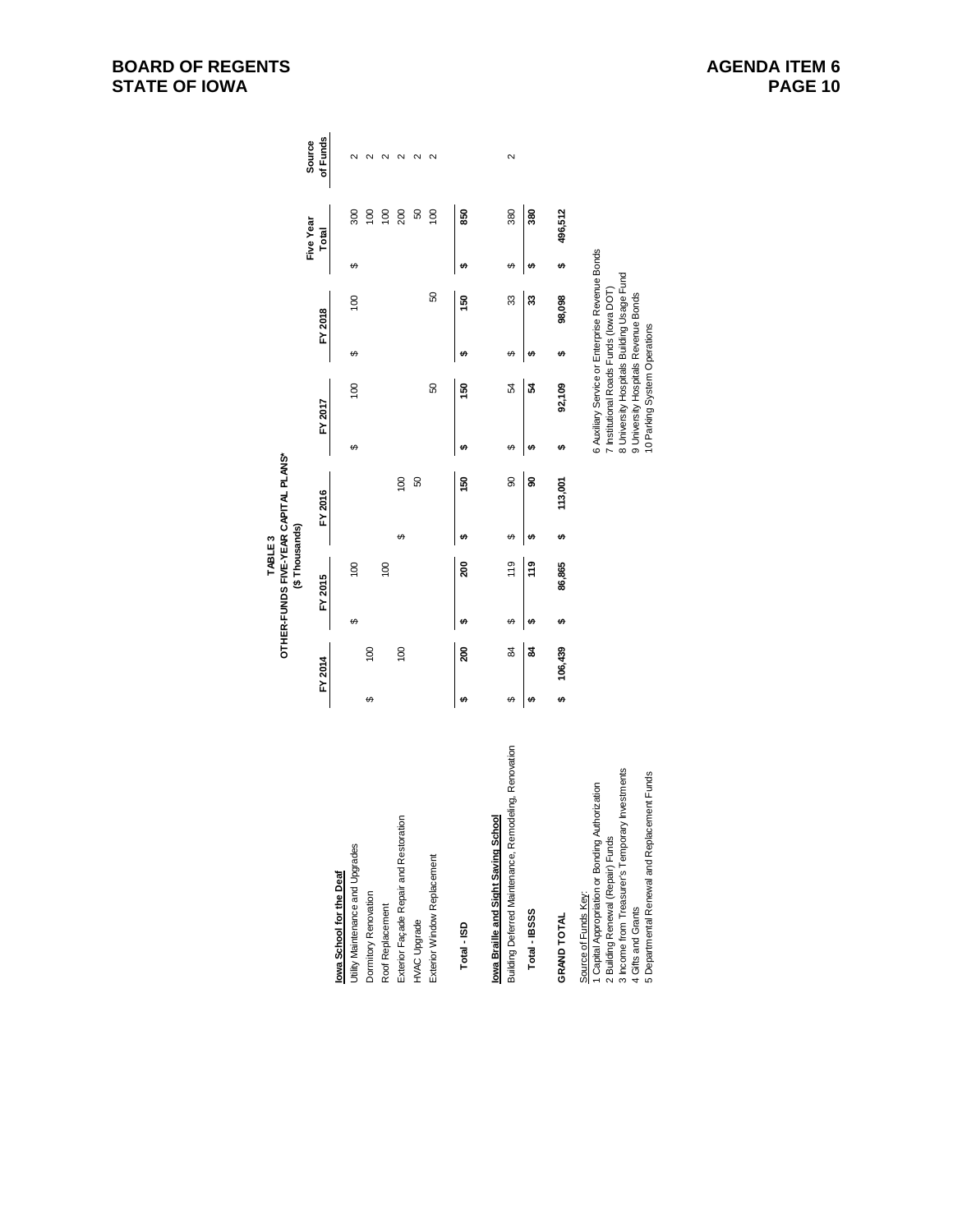# **BOARD OF REGENTS STATE OF IOWA**

|                                                                                                                                                                                                                                        |     |                |    | TABLE <sub>3</sub> |           | OTHER-FUNDS FIVE-YEAR CAPITAL PLANS* |    |                                                                                                                |   |                                                                                               |    |                |                   |
|----------------------------------------------------------------------------------------------------------------------------------------------------------------------------------------------------------------------------------------|-----|----------------|----|--------------------|-----------|--------------------------------------|----|----------------------------------------------------------------------------------------------------------------|---|-----------------------------------------------------------------------------------------------|----|----------------|-------------------|
|                                                                                                                                                                                                                                        |     |                |    | (\$Thousands)      |           |                                      |    |                                                                                                                |   |                                                                                               |    | Five Year      | Source            |
|                                                                                                                                                                                                                                        |     | FY 2014        |    | FY 2015            |           | FY 2016                              |    | FY 2017                                                                                                        |   | FY 2018                                                                                       |    | Total          | of Funds          |
| lowa School for the Deaf                                                                                                                                                                                                               |     |                |    |                    |           |                                      |    |                                                                                                                |   |                                                                                               |    |                |                   |
| Utility Maintenance and Upgrades                                                                                                                                                                                                       |     |                | ↮  | $\overline{0}$     |           |                                      | ↮  | $\overline{0}$                                                                                                 | ↮ | $\overline{0}$                                                                                | ↔  | 300            | $\sim$            |
| Dormitory Renovation                                                                                                                                                                                                                   | ↮   | $\overline{0}$ |    |                    |           |                                      |    |                                                                                                                |   |                                                                                               |    | $\overline{0}$ | $\sim$            |
| Roof Replacement                                                                                                                                                                                                                       |     |                |    | 100                |           |                                      |    |                                                                                                                |   |                                                                                               |    | 100            | $\mathbf{\Omega}$ |
| Exterior Façade Repair and Restoration                                                                                                                                                                                                 |     | 100            |    |                    | ↔         | $\overline{8}$                       |    |                                                                                                                |   |                                                                                               |    | 200            | $\mathbf{\Omega}$ |
| HVAC Upgrade                                                                                                                                                                                                                           |     |                |    |                    |           | 50                                   |    |                                                                                                                |   |                                                                                               |    | 50             | 2                 |
| Exterior Window Replacement                                                                                                                                                                                                            |     |                |    |                    |           |                                      |    | 8                                                                                                              |   | 8                                                                                             |    | $\overline{0}$ | 2                 |
| Total-ISD                                                                                                                                                                                                                              | ↮   | ຊິ             | tA | ຊິ                 | မာ        | 150                                  | ↮  | 150                                                                                                            | ↮ | 50                                                                                            | မာ | 850            |                   |
| lowa Braille and Sight Saving School                                                                                                                                                                                                   |     |                |    |                    |           |                                      |    |                                                                                                                |   |                                                                                               |    |                |                   |
| Building Deferred Maintenance, Remodeling, Renovation                                                                                                                                                                                  | ↔   | 84             | ↔  | $\frac{10}{11}$    | ↔         | 8                                    | ക  | 54                                                                                                             | ↔ | 33                                                                                            | ക  | 380            | 2                 |
| Total - IBSSS                                                                                                                                                                                                                          | ₩   | 3              | tA | <b>e</b>           | tA        | g                                    | tA | 24                                                                                                             | ↮ | 33                                                                                            | tA | 380            |                   |
| GRAND TOTAL                                                                                                                                                                                                                            | tA, | 106,439        | ↮  | 86,865             | <b>SA</b> | 113,001                              | ↮  | 92,109                                                                                                         | ↮ | 98,098                                                                                        | မာ | 496,512        |                   |
| 3 Income from Treasurer's Temporary Investments<br>5 Departmental Renewal and Replacement Funds<br>I Capital Appropriation or Bonding Authorization<br>2 Building Renewal (Repair) Funds<br>Source of Funds Key:<br>4 Gifts and Grants |     |                |    |                    |           |                                      |    | 7 Institutional Roads Funds (lowa DOT)<br>9 University Hospitals Revenue Bonds<br>10 Parking System Operations |   | 6 Auxiliary Service or Enterprise Revenue Bonds<br>8 University Hospitals Building Usage Fund |    |                |                   |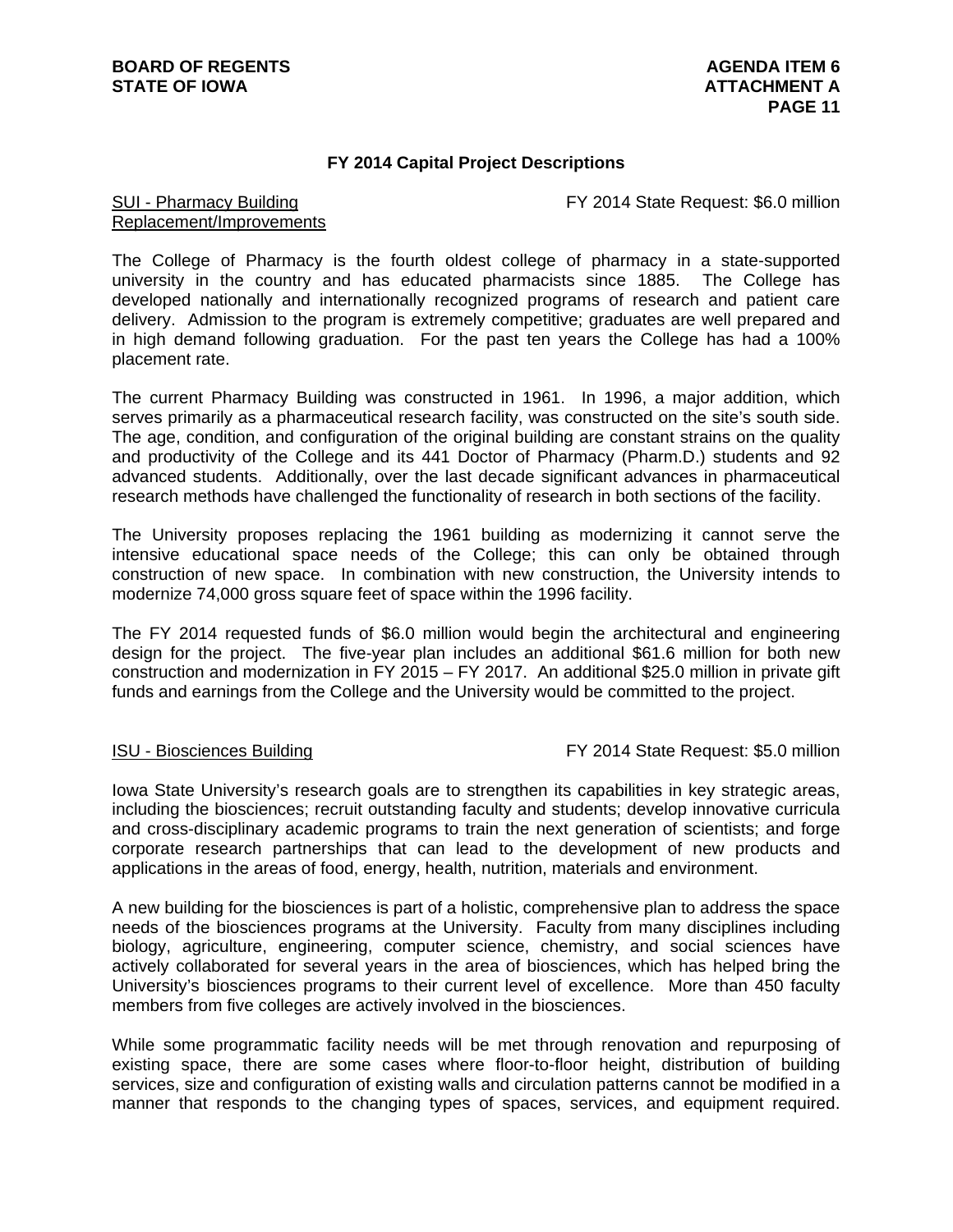### **FY 2014 Capital Project Descriptions**

FY 2014 State Request: \$6.0 million

### SUI - Pharmacy Building Replacement/Improvements

The College of Pharmacy is the fourth oldest college of pharmacy in a state-supported university in the country and has educated pharmacists since 1885. The College has developed nationally and internationally recognized programs of research and patient care delivery. Admission to the program is extremely competitive; graduates are well prepared and in high demand following graduation. For the past ten years the College has had a 100% placement rate.

The current Pharmacy Building was constructed in 1961. In 1996, a major addition, which serves primarily as a pharmaceutical research facility, was constructed on the site's south side. The age, condition, and configuration of the original building are constant strains on the quality and productivity of the College and its 441 Doctor of Pharmacy (Pharm.D.) students and 92 advanced students. Additionally, over the last decade significant advances in pharmaceutical research methods have challenged the functionality of research in both sections of the facility.

The University proposes replacing the 1961 building as modernizing it cannot serve the intensive educational space needs of the College; this can only be obtained through construction of new space. In combination with new construction, the University intends to modernize 74,000 gross square feet of space within the 1996 facility.

The FY 2014 requested funds of \$6.0 million would begin the architectural and engineering design for the project. The five-year plan includes an additional \$61.6 million for both new construction and modernization in FY 2015 – FY 2017. An additional \$25.0 million in private gift funds and earnings from the College and the University would be committed to the project.

ISU - Biosciences Building FY 2014 State Request: \$5.0 million

Iowa State University's research goals are to strengthen its capabilities in key strategic areas, including the biosciences; recruit outstanding faculty and students; develop innovative curricula and cross-disciplinary academic programs to train the next generation of scientists; and forge corporate research partnerships that can lead to the development of new products and applications in the areas of food, energy, health, nutrition, materials and environment.

A new building for the biosciences is part of a holistic, comprehensive plan to address the space needs of the biosciences programs at the University. Faculty from many disciplines including biology, agriculture, engineering, computer science, chemistry, and social sciences have actively collaborated for several years in the area of biosciences, which has helped bring the University's biosciences programs to their current level of excellence. More than 450 faculty members from five colleges are actively involved in the biosciences.

While some programmatic facility needs will be met through renovation and repurposing of existing space, there are some cases where floor-to-floor height, distribution of building services, size and configuration of existing walls and circulation patterns cannot be modified in a manner that responds to the changing types of spaces, services, and equipment required.